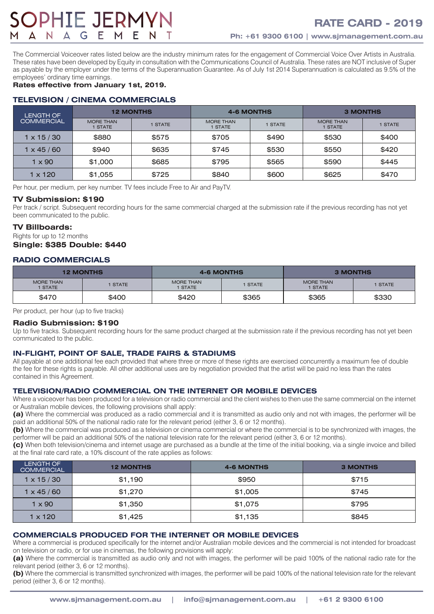# **OPHIE JERM'**

The Commercial Voiceover rates listed below are the industry minimum rates for the engagement of Commercial Voice Over Artists in Australia. These rates have been developed by Equity in consultation with the Communications Council of Australia. These rates are NOT inclusive of Super as payable by the employer under the terms of the Superannuation Guarantee. As of July 1st 2014 Superannuation is calculated as 9.5% of the employees' ordinary time earnings.

# **Rates effective from January 1st, 2019.**

# **TELEVISION / CINEMA COMMERCIALS**

| <b>LENGTH OF</b><br>COMMERCIAL | <b>12 MONTHS</b>            |              | <b>4-6 MONTHS</b>           |              | <b>3 MONTHS</b>                  |         |
|--------------------------------|-----------------------------|--------------|-----------------------------|--------------|----------------------------------|---------|
|                                | <b>MORE THAN</b><br>1 STATE | <b>STATE</b> | <b>MORE THAN</b><br>1 STATE | <b>STATE</b> | <b>MORE THAN</b><br><b>STATE</b> | 1 STATE |
| $1 \times 15 / 30$             | \$880                       | \$575        | \$705                       | \$490        | \$530                            | \$400   |
| l x 45 / 60                    | \$940                       | \$635        | \$745                       | \$530        | \$550                            | \$420   |
| 1 x 90                         | \$1,000                     | \$685        | \$795                       | \$565        | \$590                            | \$445   |
| 1 x 120                        | \$1,055                     | \$725        | \$840                       | \$600        | \$625                            | \$470   |

Per hour, per medium, per key number. TV fees include Free to Air and PayTV.

#### **TV Submission: \$190**

Per track / script. Subsequent recording hours for the same commercial charged at the submission rate if the previous recording has not yet been communicated to the public.

#### **TV Billboards:**

Rights for up to 12 months **Single: \$385 Double: \$440**

# **RADIO COMMERCIALS**

| <b>12 MONTHS</b>            |         |                      | <b>4-6 MONTHS</b> | <b>3 MONTHS</b>      |         |
|-----------------------------|---------|----------------------|-------------------|----------------------|---------|
| <b>MORE THAN</b><br>1 STATE | I STATE | MORE THAN<br>I STATE | 1 STATE           | MORE THAN<br>I STATE | 1 STATE |
| \$470                       | \$400   | \$420                | \$365             | \$365                | \$330   |

Per product, per hour (up to five tracks)

#### **Radio Submission: \$190**

Up to five tracks. Subsequent recording hours for the same product charged at the submission rate if the previous recording has not yet been communicated to the public.

# **IN-FLIGHT, POINT OF SALE, TRADE FAIRS & STADIUMS**

All payable at one additional fee each provided that where three or more of these rights are exercised concurrently a maximum fee of double the fee for these rights is payable. All other additional uses are by negotiation provided that the artist will be paid no less than the rates contained in this Agreement.

#### **TELEVISION/RADIO COMMERCIAL ON THE INTERNET OR MOBILE DEVICES**

Where a voiceover has been produced for a television or radio commercial and the client wishes to then use the same commercial on the internet or Australian mobile devices, the following provisions shall apply:

**(a)** Where the commercial was produced as a radio commercial and it is transmitted as audio only and not with images, the performer will be paid an additional 50% of the national radio rate for the relevant period (either 3, 6 or 12 months).

**(b)** Where the commercial was produced as a television or cinema commercial or where the commercial is to be synchronized with images, the performer will be paid an additional 50% of the national television rate for the relevant period (either 3, 6 or 12 months).

**(c)** When both television/cinema and internet usage are purchased as a bundle at the time of the initial booking, via a single invoice and billed at the final rate card rate, a 10% discount of the rate applies as follows:

| <b>LENGTH OF</b><br><b>COMMERCIAL</b> | <b>12 MONTHS</b> | <b>4-6 MONTHS</b> | <b>3 MONTHS</b> |
|---------------------------------------|------------------|-------------------|-----------------|
| $1 \times 15 / 30$                    | \$1,190          | \$950             | \$715           |
| x 45 / 60                             | \$1,270          | \$1,005           | \$745           |
| $1 \times 90$                         | \$1,350          | \$1.075           | \$795           |
| $1 \times 120$                        | \$1,425          | \$1,135           | \$845           |

# **COMMERCIALS PRODUCED FOR THE INTERNET OR MOBILE DEVICES**

Where a commercial is produced specifically for the internet and/or Australian mobile devices and the commercial is not intended for broadcast on television or radio, or for use in cinemas, the following provisions will apply:

**(a)** Where the commercial is transmitted as audio only and not with images, the performer will be paid 100% of the national radio rate for the relevant period (either 3, 6 or 12 months).

**(b)** Where the commercial is transmitted synchronized with images, the performer will be paid 100% of the national television rate for the relevant period (either 3, 6 or 12 months).